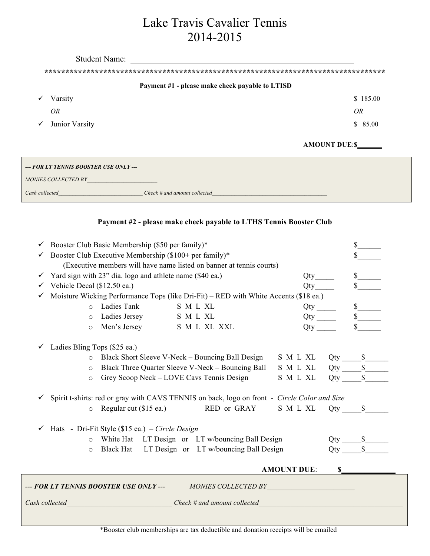## Lake Travis Cavalier Tennis 2014-2015

|              | Payment #1 - please make check payable to LTISD |                            |
|--------------|-------------------------------------------------|----------------------------|
|              | Varsity                                         | \$185.00                   |
|              | <i>OR</i>                                       | <i>OR</i>                  |
| $\checkmark$ | Junior Varsity                                  | \$85.00                    |
|              |                                                 | <b>AMOUNT DUE:S_______</b> |

*Cash collected* **Cash collected Cash collected** 

## **Payment #2 - please make check payable to LTHS Tennis Booster Club**

| $\checkmark$   | Booster Club Basic Membership (\$50 per family)*                                     |                                                          |                                                        |                                                                                              |                           |     |                      |
|----------------|--------------------------------------------------------------------------------------|----------------------------------------------------------|--------------------------------------------------------|----------------------------------------------------------------------------------------------|---------------------------|-----|----------------------|
| $\checkmark$   |                                                                                      |                                                          | Booster Club Executive Membership (\$100+ per family)* |                                                                                              |                           |     |                      |
|                |                                                                                      |                                                          |                                                        | (Executive members will have name listed on banner at tennis courts)                         |                           |     |                      |
| ✓              |                                                                                      | Yard sign with 23" dia. logo and athlete name (\$40 ea.) |                                                        | $\mathbb{S}$                                                                                 |                           |     |                      |
| $\checkmark$   | Vehicle Decal (\$12.50 ea.)                                                          |                                                          |                                                        |                                                                                              | Qty                       |     |                      |
| ✓              | Moisture Wicking Performance Tops (like Dri-Fit) - RED with White Accents (\$18 ea.) |                                                          |                                                        |                                                                                              |                           |     |                      |
|                | $\circ$                                                                              | Ladies Tank                                              |                                                        | S M L XL                                                                                     | $Qty$ <sub>________</sub> |     | $s$ <sub>_____</sub> |
|                | $\circ$                                                                              | Ladies Jersey                                            |                                                        | S M L XL                                                                                     |                           |     | s                    |
|                | $\circ$                                                                              | Men's Jersey                                             |                                                        | S M L XL XXL                                                                                 | Qty                       |     |                      |
|                |                                                                                      |                                                          |                                                        |                                                                                              |                           |     |                      |
|                | Ladies Bling Tops (\$25 ea.)                                                         |                                                          |                                                        |                                                                                              |                           |     |                      |
|                | $\Omega$                                                                             |                                                          |                                                        | Black Short Sleeve V-Neck – Bouncing Ball Design                                             | S M L XL                  | Qty |                      |
|                | $\circ$                                                                              |                                                          |                                                        | Black Three Quarter Sleeve V-Neck – Bouncing Ball                                            | S M L XL                  | Qty | $\mathbb{S}$         |
|                | $\circ$                                                                              |                                                          |                                                        | Grey Scoop Neck – LOVE Cavs Tennis Design                                                    | S M L XL                  | Qty |                      |
|                |                                                                                      |                                                          |                                                        |                                                                                              |                           |     |                      |
| ✓              |                                                                                      |                                                          |                                                        | Spirit t-shirts: red or gray with CAVS TENNIS on back, logo on front - Circle Color and Size |                           |     |                      |
|                | $\circ$                                                                              | Regular cut (\$15 ea.)                                   |                                                        | RED or GRAY                                                                                  | S M L XL                  | Qty |                      |
|                |                                                                                      |                                                          |                                                        |                                                                                              |                           |     |                      |
|                |                                                                                      |                                                          | Hats - Dri-Fit Style (\$15 ea.) – Circle Design        |                                                                                              |                           |     |                      |
|                | $\Omega$                                                                             |                                                          |                                                        | White Hat LT Design or LT w/bouncing Ball Design                                             |                           | Qty |                      |
|                | $\circ$                                                                              | <b>Black Hat</b>                                         |                                                        | LT Design or LT w/bouncing Ball Design                                                       |                           | Qty |                      |
|                |                                                                                      |                                                          |                                                        |                                                                                              |                           |     |                      |
|                |                                                                                      |                                                          |                                                        |                                                                                              | <b>AMOUNT DUE:</b>        | \$  |                      |
|                |                                                                                      |                                                          |                                                        |                                                                                              |                           |     |                      |
|                |                                                                                      | --- FOR LT TENNIS BOOSTER USE ONLY ---                   |                                                        | MONIES COLLECTED BY                                                                          |                           |     |                      |
| Cash collected |                                                                                      |                                                          |                                                        | Check # and amount collected                                                                 |                           |     |                      |
|                |                                                                                      |                                                          |                                                        |                                                                                              |                           |     |                      |

\*Booster club memberships are tax deductible and donation receipts will be emailed